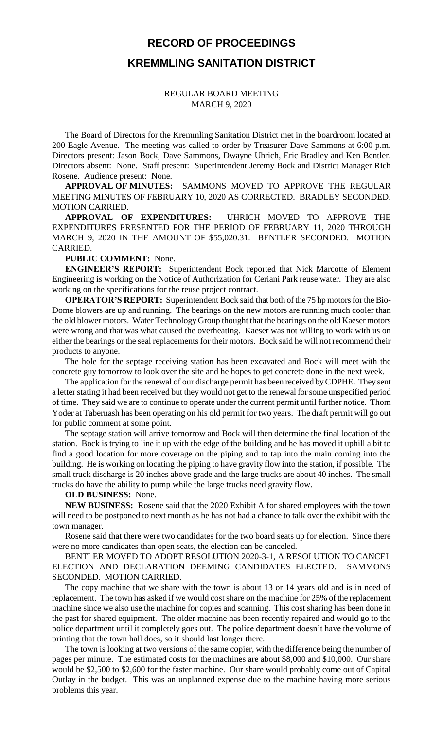## **RECORD OF PROCEEDINGS**

## **KREMMLING SANITATION DISTRICT**

### REGULAR BOARD MEETING MARCH 9, 2020

The Board of Directors for the Kremmling Sanitation District met in the boardroom located at 200 Eagle Avenue. The meeting was called to order by Treasurer Dave Sammons at 6:00 p.m. Directors present: Jason Bock, Dave Sammons, Dwayne Uhrich, Eric Bradley and Ken Bentler. Directors absent: None. Staff present: Superintendent Jeremy Bock and District Manager Rich Rosene. Audience present: None.

**APPROVAL OF MINUTES:** SAMMONS MOVED TO APPROVE THE REGULAR MEETING MINUTES OF FEBRUARY 10, 2020 AS CORRECTED. BRADLEY SECONDED. MOTION CARRIED.

**APPROVAL OF EXPENDITURES:** UHRICH MOVED TO APPROVE THE EXPENDITURES PRESENTED FOR THE PERIOD OF FEBRUARY 11, 2020 THROUGH MARCH 9, 2020 IN THE AMOUNT OF \$55,020.31. BENTLER SECONDED. MOTION CARRIED.

#### **PUBLIC COMMENT:** None.

**ENGINEER'S REPORT:** Superintendent Bock reported that Nick Marcotte of Element Engineering is working on the Notice of Authorization for Ceriani Park reuse water. They are also working on the specifications for the reuse project contract.

**OPERATOR'S REPORT:** Superintendent Bock said that both of the 75 hp motors for the Bio-Dome blowers are up and running. The bearings on the new motors are running much cooler than the old blower motors. Water Technology Group thought that the bearings on the old Kaeser motors were wrong and that was what caused the overheating. Kaeser was not willing to work with us on either the bearings or the seal replacements for their motors. Bock said he will not recommend their products to anyone.

The hole for the septage receiving station has been excavated and Bock will meet with the concrete guy tomorrow to look over the site and he hopes to get concrete done in the next week.

The application for the renewal of our discharge permit has been received by CDPHE. They sent a letter stating it had been received but they would not get to the renewal for some unspecified period of time. They said we are to continue to operate under the current permit until further notice. Thom Yoder at Tabernash has been operating on his old permit for two years. The draft permit will go out for public comment at some point.

The septage station will arrive tomorrow and Bock will then determine the final location of the station. Bock is trying to line it up with the edge of the building and he has moved it uphill a bit to find a good location for more coverage on the piping and to tap into the main coming into the building. He is working on locating the piping to have gravity flow into the station, if possible. The small truck discharge is 20 inches above grade and the large trucks are about 40 inches. The small trucks do have the ability to pump while the large trucks need gravity flow.

### **OLD BUSINESS:** None.

**NEW BUSINESS:** Rosene said that the 2020 Exhibit A for shared employees with the town will need to be postponed to next month as he has not had a chance to talk over the exhibit with the town manager.

Rosene said that there were two candidates for the two board seats up for election. Since there were no more candidates than open seats, the election can be canceled.

BENTLER MOVED TO ADOPT RESOLUTION 2020-3-1, A RESOLUTION TO CANCEL ELECTION AND DECLARATION DEEMING CANDIDATES ELECTED. SAMMONS SECONDED. MOTION CARRIED.

The copy machine that we share with the town is about 13 or 14 years old and is in need of replacement. The town has asked if we would cost share on the machine for 25% of the replacement machine since we also use the machine for copies and scanning. This cost sharing has been done in the past for shared equipment. The older machine has been recently repaired and would go to the police department until it completely goes out. The police department doesn't have the volume of printing that the town hall does, so it should last longer there.

The town is looking at two versions of the same copier, with the difference being the number of pages per minute. The estimated costs for the machines are about \$8,000 and \$10,000. Our share would be \$2,500 to \$2,600 for the faster machine. Our share would probably come out of Capital Outlay in the budget. This was an unplanned expense due to the machine having more serious problems this year.